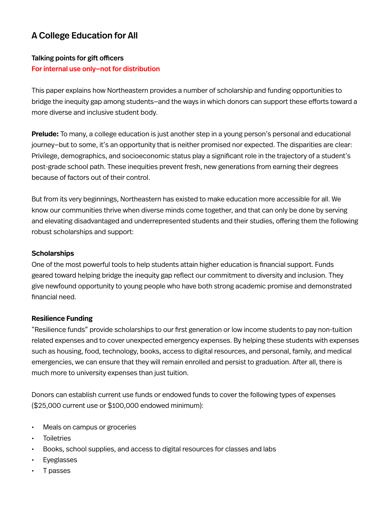# A College Education for All

## Talking points for gift officers For internal use only—not for distribution

This paper explains how Northeastern provides a number of scholarship and funding opportunities to bridge the inequity gap among students—and the ways in which donors can support these efforts toward a more diverse and inclusive student body.

**Prelude:** To many, a college education is just another step in a young person's personal and educational journey—but to some, it's an opportunity that is neither promised nor expected. The disparities are clear: Privilege, demographics, and socioeconomic status play a significant role in the trajectory of a student's post-grade school path. These inequities prevent fresh, new generations from earning their degrees because of factors out of their control.

But from its very beginnings, Northeastern has existed to make education more accessible for all. We know our communities thrive when diverse minds come together, and that can only be done by serving and elevating disadvantaged and underrepresented students and their studies, offering them the following robust scholarships and support:

#### **Scholarships**

One of the most powerful tools to help students attain higher education is financial support. Funds geared toward helping bridge the inequity gap reflect our commitment to diversity and inclusion. They give newfound opportunity to young people who have both strong academic promise and demonstrated financial need.

#### **Resilience Funding**

"Resilience funds" provide scholarships to our first generation or low income students to pay non-tuition related expenses and to cover unexpected emergency expenses. By helping these students with expenses such as housing, food, technology, books, access to digital resources, and personal, family, and medical emergencies, we can ensure that they will remain enrolled and persist to graduation. After all, there is much more to university expenses than just tuition.

Donors can establish current use funds or endowed funds to cover the following types of expenses (\$25,000 current use or \$100,000 endowed minimum):

- Meals on campus or groceries
- **Toiletries**
- Books, school supplies, and access to digital resources for classes and labs
- **Eyeglasses**
- T passes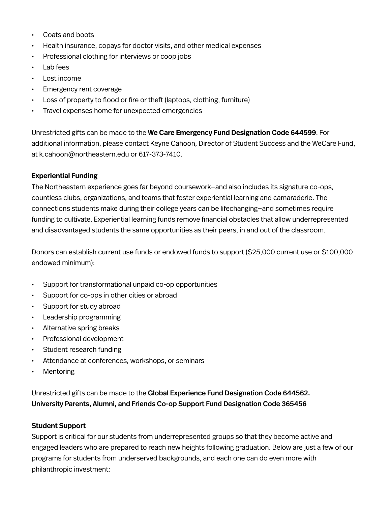- Coats and boots
- Health insurance, copays for doctor visits, and other medical expenses
- Professional clothing for interviews or coop jobs
- Lab fees
- Lost income
- Emergency rent coverage
- Loss of property to flood or fire or theft (laptops, clothing, furniture)
- Travel expenses home for unexpected emergencies

Unrestricted gifts can be made to the **We Care Emergency Fund Designation Code 644599**. For additional information, please contact Keyne Cahoon, Director of Student Success and the WeCare Fund, at k.cahoon@northeastern.edu or 617-373-7410.

## **Experiential Funding**

The Northeastern experience goes far beyond coursework—and also includes its signature co-ops, countless clubs, organizations, and teams that foster experiential learning and camaraderie. The connections students make during their college years can be lifechanging—and sometimes require funding to cultivate. Experiential learning funds remove financial obstacles that allow underrepresented and disadvantaged students the same opportunities as their peers, in and out of the classroom.

Donors can establish current use funds or endowed funds to support (\$25,000 current use or \$100,000 endowed minimum):

- Support for transformational unpaid co-op opportunities
- Support for co-ops in other cities or abroad
- Support for study abroad
- Leadership programming
- Alternative spring breaks
- Professional development
- Student research funding
- Attendance at conferences, workshops, or seminars
- **Mentoring**

Unrestricted gifts can be made to the Global Experience Fund Designation Code 644562. University Parents, Alumni, and Friends Co-op Support Fund Designation Code 365456

## **Student Support**

Support is critical for our students from underrepresented groups so that they become active and engaged leaders who are prepared to reach new heights following graduation. Below are just a few of our programs for students from underserved backgrounds, and each one can do even more with philanthropic investment: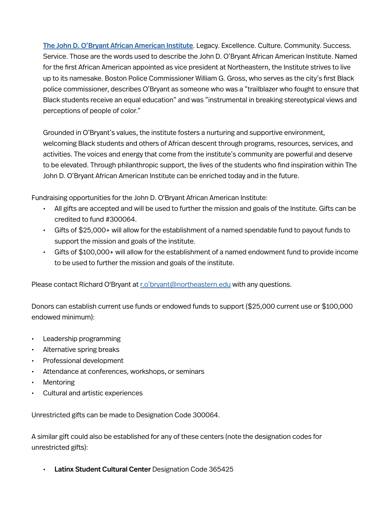[The John D. O'Bryant African American Institute](https://www.northeastern.edu/aai/). Legacy. Excellence. Culture. Community. Success. Service. Those are the words used to describe the John D. O'Bryant African American Institute. Named for the first African American appointed as vice president at Northeastern, the Institute strives to live up to its namesake. Boston Police Commissioner William G. Gross, who serves as the city's first Black police commissioner, describes O'Bryant as someone who was a "trailblazer who fought to ensure that Black students receive an equal education" and was "instrumental in breaking stereotypical views and perceptions of people of color."

Grounded in O'Bryant's values, the institute fosters a nurturing and supportive environment, welcoming Black students and others of African descent through programs, resources, services, and activities. The voices and energy that come from the institute's community are powerful and deserve to be elevated. Through philanthropic support, the lives of the students who find inspiration within The John D. O'Bryant African American Institute can be enriched today and in the future.

Fundraising opportunities for the John D. O'Bryant African American Institute:

- All gifts are accepted and will be used to further the mission and goals of the Institute. Gifts can be credited to fund #300064.
- Gifts of \$25,000+ will allow for the establishment of a named spendable fund to payout funds to support the mission and goals of the institute.
- Gifts of \$100,000+ will allow for the establishment of a named endowment fund to provide income to be used to further the mission and goals of the institute.

Please contact Richard O'Bryant at [r.o'bryant@northeastern.edu](mailto:r.o%E2%80%99bryant%40northeastern.edu?subject=) with any questions.

Donors can establish current use funds or endowed funds to support (\$25,000 current use or \$100,000 endowed minimum):

- Leadership programming
- Alternative spring breaks
- Professional development
- Attendance at conferences, workshops, or seminars
- **Mentoring**
- Cultural and artistic experiences

Unrestricted gifts can be made to Designation Code 300064.

A similar gift could also be established for any of these centers (note the designation codes for unrestricted gifts):

• Latinx Student Cultural Center Designation Code 365425